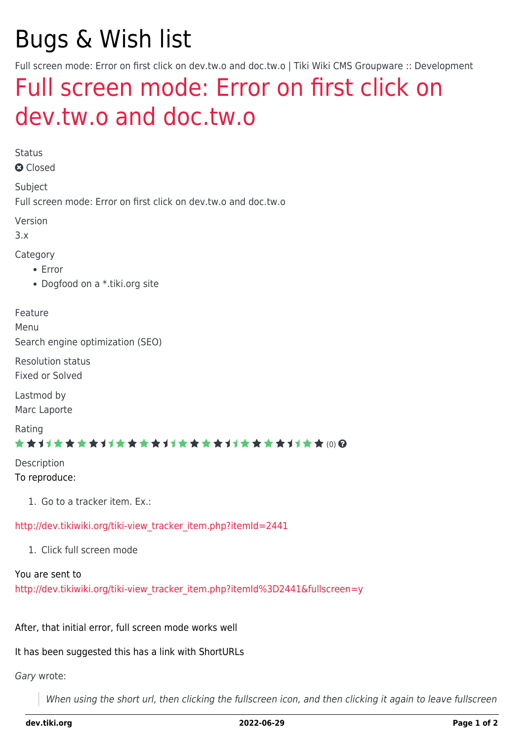# Bugs & Wish list

Full screen mode: Error on first click on dev.tw.o and doc.tw.o | Tiki Wiki CMS Groupware :: Development

## [Full screen mode: Error on first click on](https://dev.tiki.org/item2441-Full-screen-mode-Error-on-first-click-on-dev-tw-o-and-doc-tw-o) [dev.tw.o and doc.tw.o](https://dev.tiki.org/item2441-Full-screen-mode-Error-on-first-click-on-dev-tw-o-and-doc-tw-o)

Status

**a** Closed

Subject Full screen mode: Error on first click on dev.tw.o and doc.tw.o

Version

3.x

Category

- Error
- Dogfood on a \*.tiki.org site

Feature

Menu

Search engine optimization (SEO)

Resolution status Fixed or Solved

Lastmod by Marc Laporte

Rating

#### ★★11★★★★11★★★★11★★★★11★★★★11★★ (0)@

Description To reproduce:

1. Go to a tracker item. Ex.:

[http://dev.tikiwiki.org/tiki-view\\_tracker\\_item.php?itemId=2441](http://dev.tikiwiki.org/tiki-view_tracker_item.php?itemId=2441)

1. Click full screen mode

You are sent to

[http://dev.tikiwiki.org/tiki-view\\_tracker\\_item.php?itemId%3D2441&fullscreen=y](http://dev.tikiwiki.org/tiki-view_tracker_item.php?itemId%3D2441&fullscreen=y)

After, that initial error, full screen mode works well

It has been suggested this has a link with ShortURLs

Gary wrote:

When using the short url, then clicking the fullscreen icon, and then clicking it again to leave fullscreen